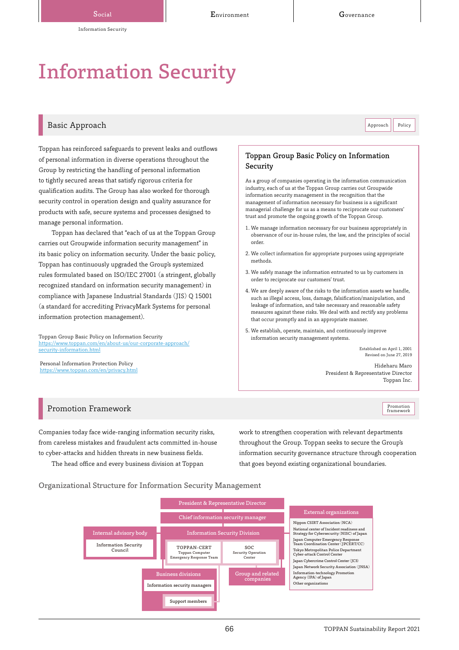# Information Security

## Basic Approach **Approach Approach** Policy **Approach** Policy **Approach** Policy **Approach** Policy **Approach** Policy

Toppan has reinforced safeguards to prevent leaks and outflows of personal information in diverse operations throughout the Group by restricting the handling of personal information to tightly secured areas that satisfy rigorous criteria for qualification audits. The Group has also worked for thorough security control in operation design and quality assurance for products with safe, secure systems and processes designed to manage personal information.

Toppan has declared that "each of us at the Toppan Group carries out Groupwide information security management" in its basic policy on information security. Under the basic policy, Toppan has continuously upgraded the Group's systemized rules formulated based on ISO/IEC 27001 (a stringent, globally recognized standard on information security management) in compliance with Japanese Industrial Standards (JIS) Q 15001 (a standard for accrediting PrivacyMark Systems for personal information protection management).

Toppan Group Basic Policy on Information Security ://www.toppan.com/en/about-us/our-corporate-approach/ security-information.html

Personal Information Protection Policy <https://www.toppan.com/en/privacy.html>

## Toppan Group Basic Policy on Information Security

As a group of companies operating in the information communication industry, each of us at the Toppan Group carries out Groupwide information security management in the recognition that the management of information necessary for business is a significant managerial challenge for us as a means to reciprocate our customers' trust and promote the ongoing growth of the Toppan Group.

- 1. We manage information necessary for our business appropriately in observance of our in-house rules, the law, and the principles of social order.
- 2. We collect information for appropriate purposes using appropriate methods.
- 3. We safely manage the information entrusted to us by customers in order to reciprocate our customers' trust.
- 4. We are deeply aware of the risks to the information assets we handle, such as illegal access, loss, damage, falsification/manipulation, and leakage of information, and take necessary and reasonable safety measures against these risks. We deal with and rectify any problems that occur promptly and in an appropriate manner.
- 5. We establish, operate, maintain, and continuously improve information security management systems.

Established on April 1, 2001 Revised on June 27, 2019

Promotion<br>framework

Hideharu Maro President & Representative Director Toppan Inc.

## Promotion Framework

Companies today face wide-ranging information security risks, from careless mistakes and fraudulent acts committed in-house to cyber-attacks and hidden threats in new business fields.

The head office and every business division at Toppan

work to strengthen cooperation with relevant departments throughout the Group. Toppan seeks to secure the Group's information security governance structure through cooperation that goes beyond existing organizational boundaries.

Organizational Structure for Information Security Management

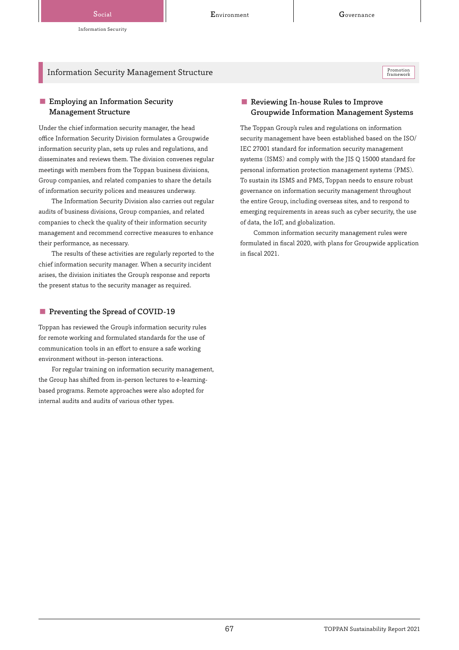## Information Security Management Structure

■ Employing an Information Security Management Structure

Under the chief information security manager, the head office Information Security Division formulates a Groupwide information security plan, sets up rules and regulations, and disseminates and reviews them. The division convenes regular meetings with members from the Toppan business divisions, Group companies, and related companies to share the details of information security polices and measures underway.

The Information Security Division also carries out regular audits of business divisions, Group companies, and related companies to check the quality of their information security management and recommend corrective measures to enhance their performance, as necessary.

The results of these activities are regularly reported to the chief information security manager. When a security incident arises, the division initiates the Group's response and reports the present status to the security manager as required.

## ■ Preventing the Spread of COVID-19

Toppan has reviewed the Group's information security rules for remote working and formulated standards for the use of communication tools in an effort to ensure a safe working environment without in-person interactions.

For regular training on information security management, the Group has shifted from in-person lectures to e-learningbased programs. Remote approaches were also adopted for internal audits and audits of various other types.

## ■ Reviewing In-house Rules to Improve Groupwide Information Management Systems

The Toppan Group's rules and regulations on information security management have been established based on the ISO/ IEC 27001 standard for information security management systems (ISMS) and comply with the JIS Q 15000 standard for personal information protection management systems (PMS). To sustain its ISMS and PMS, Toppan needs to ensure robust governance on information security management throughout the entire Group, including overseas sites, and to respond to emerging requirements in areas such as cyber security, the use of data, the IoT, and globalization.

Common information security management rules were formulated in fiscal 2020, with plans for Groupwide application in fiscal 2021.

Promotion<br>framework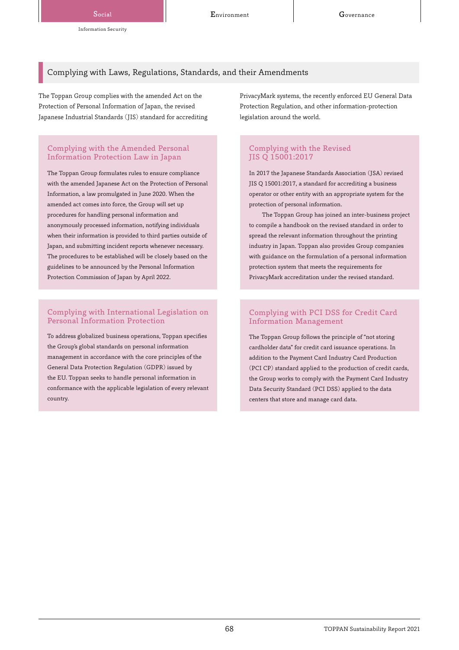## Complying with Laws, Regulations, Standards, and their Amendments

The Toppan Group complies with the amended Act on the Protection of Personal Information of Japan, the revised Japanese Industrial Standards (JIS) standard for accrediting

## Complying with the Amended Personal Information Protection Law in Japan

The Toppan Group formulates rules to ensure compliance with the amended Japanese Act on the Protection of Personal Information, a law promulgated in June 2020. When the amended act comes into force, the Group will set up procedures for handling personal information and anonymously processed information, notifying individuals when their information is provided to third parties outside of Japan, and submitting incident reports whenever necessary. The procedures to be established will be closely based on the guidelines to be announced by the Personal Information Protection Commission of Japan by April 2022.

## Complying with International Legislation on Personal Information Protection

To address globalized business operations, Toppan specifies the Group's global standards on personal information management in accordance with the core principles of the General Data Protection Regulation (GDPR) issued by the EU. Toppan seeks to handle personal information in conformance with the applicable legislation of every relevant country.

PrivacyMark systems, the recently enforced EU General Data Protection Regulation, and other information-protection legislation around the world.

## Complying with the Revised JIS Q 15001:2017

In 2017 the Japanese Standards Association (JSA) revised JIS Q 15001:2017, a standard for accrediting a business operator or other entity with an appropriate system for the protection of personal information.

The Toppan Group has joined an inter-business project to compile a handbook on the revised standard in order to spread the relevant information throughout the printing industry in Japan. Toppan also provides Group companies with guidance on the formulation of a personal information protection system that meets the requirements for PrivacyMark accreditation under the revised standard.

## Complying with PCI DSS for Credit Card Information Management

The Toppan Group follows the principle of "not storing cardholder data" for credit card issuance operations. In addition to the Payment Card Industry Card Production (PCI CP) standard applied to the production of credit cards, the Group works to comply with the Payment Card Industry Data Security Standard (PCI DSS) applied to the data centers that store and manage card data.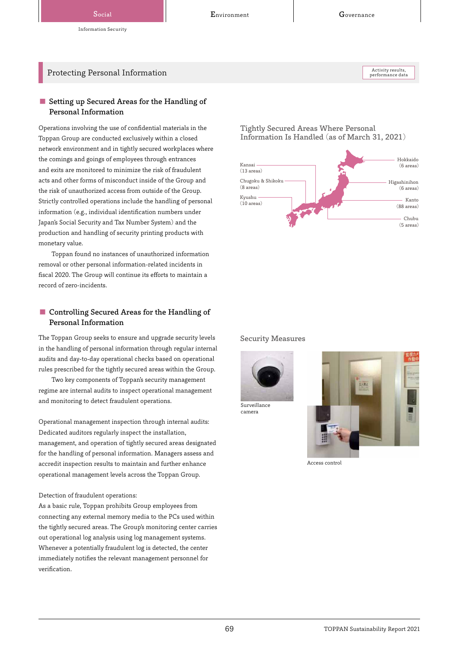## Protecting Personal Information

Activity results,<br>performance data

## ■ Setting up Secured Areas for the Handling of Personal Information

Operations involving the use of confidential materials in the Toppan Group are conducted exclusively within a closed network environment and in tightly secured workplaces where the comings and goings of employees through entrances and exits are monitored to minimize the risk of fraudulent acts and other forms of misconduct inside of the Group and the risk of unauthorized access from outside of the Group. Strictly controlled operations include the handling of personal information (e.g., individual identification numbers under Japan's Social Security and Tax Number System) and the production and handling of security printing products with monetary value.

Toppan found no instances of unauthorized information removal or other personal information-related incidents in fiscal 2020. The Group will continue its efforts to maintain a record of zero-incidents.

## ■ Controlling Secured Areas for the Handling of Personal Information

The Toppan Group seeks to ensure and upgrade security levels in the handling of personal information through regular internal audits and day-to-day operational checks based on operational rules prescribed for the tightly secured areas within the Group.

Two key components of Toppan's security management regime are internal audits to inspect operational management and monitoring to detect fraudulent operations.

Operational management inspection through internal audits: Dedicated auditors regularly inspect the installation, management, and operation of tightly secured areas designated for the handling of personal information. Managers assess and accredit inspection results to maintain and further enhance operational management levels across the Toppan Group.

#### Detection of fraudulent operations:

As a basic rule, Toppan prohibits Group employees from connecting any external memory media to the PCs used within the tightly secured areas. The Group's monitoring center carries out operational log analysis using log management systems. Whenever a potentially fraudulent log is detected, the center immediately notifies the relevant management personnel for verification.

Tightly Secured Areas Where Personal Information Is Handled (as of March 31, 2021)



Security Measures



camera



Access control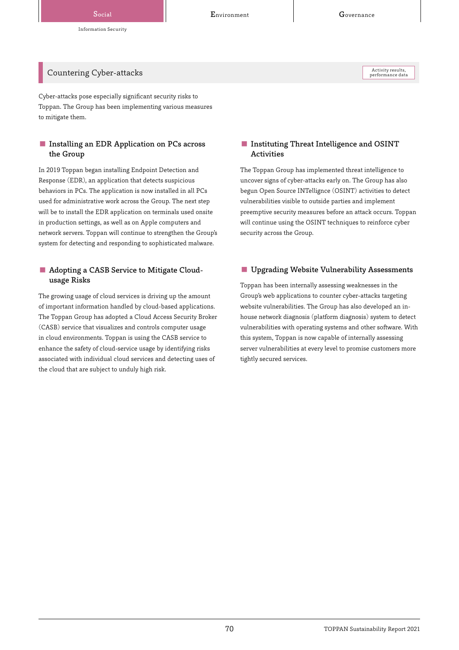## Information Security

Countering Cyber-attacks

Cyber-attacks pose especially significant security risks to Toppan. The Group has been implementing various measures to mitigate them.

## ■ Installing an EDR Application on PCs across the Group

In 2019 Toppan began installing Endpoint Detection and Response (EDR), an application that detects suspicious behaviors in PCs. The application is now installed in all PCs used for administrative work across the Group. The next step will be to install the EDR application on terminals used onsite in production settings, as well as on Apple computers and network servers. Toppan will continue to strengthen the Group's system for detecting and responding to sophisticated malware.

## ■ Adopting a CASB Service to Mitigate Cloudusage Risks

The growing usage of cloud services is driving up the amount of important information handled by cloud-based applications. The Toppan Group has adopted a Cloud Access Security Broker (CASB) service that visualizes and controls computer usage in cloud environments. Toppan is using the CASB service to enhance the safety of cloud-service usage by identifying risks associated with individual cloud services and detecting uses of the cloud that are subject to unduly high risk.

## ■ Instituting Threat Intelligence and OSINT Activities

The Toppan Group has implemented threat intelligence to uncover signs of cyber-attacks early on. The Group has also begun Open Source INTellignce (OSINT) activities to detect vulnerabilities visible to outside parties and implement preemptive security measures before an attack occurs. Toppan will continue using the OSINT techniques to reinforce cyber security across the Group.

## ■ Upgrading Website Vulnerability Assessments

Toppan has been internally assessing weaknesses in the Group's web applications to counter cyber-attacks targeting website vulnerabilities. The Group has also developed an inhouse network diagnosis (platform diagnosis) system to detect vulnerabilities with operating systems and other software. With this system, Toppan is now capable of internally assessing server vulnerabilities at every level to promise customers more tightly secured services.

Activity results,<br>performance data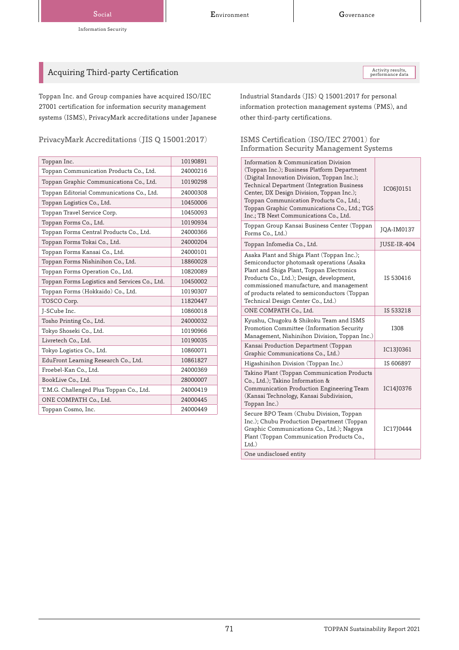## Acquiring Third-party Certification

Toppan Inc. and Group companies have acquired ISO/IEC 27001 certification for information security management systems (ISMS), PrivacyMark accreditations under Japanese

PrivacyMark Accreditations (JIS Q 15001:2017) ISMS Certification (ISO/IEC 27001) for

| Toppan Inc.                                   | 10190891 |
|-----------------------------------------------|----------|
| Toppan Communication Products Co., Ltd.       | 24000216 |
| Toppan Graphic Communications Co., Ltd.       | 10190298 |
| Toppan Editorial Communications Co., Ltd.     | 24000308 |
| Toppan Logistics Co., Ltd.                    | 10450006 |
| Toppan Travel Service Corp.                   | 10450093 |
| Toppan Forms Co., Ltd.                        | 10190934 |
| Toppan Forms Central Products Co., Ltd.       | 24000366 |
| Toppan Forms Tokai Co., Ltd.                  | 24000204 |
| Toppan Forms Kansai Co., Ltd.                 | 24000101 |
| Toppan Forms Nishinihon Co., Ltd.             | 18860028 |
| Toppan Forms Operation Co., Ltd.              | 10820089 |
| Toppan Forms Logistics and Services Co., Ltd. | 10450002 |
| Toppan Forms (Hokkaido) Co., Ltd.             | 10190307 |
| TOSCO Corp.                                   | 11820447 |
| J-SCube Inc.                                  | 10860018 |
| Tosho Printing Co., Ltd.                      | 24000032 |
| Tokyo Shoseki Co., Ltd.                       | 10190966 |
| Livretech Co., Ltd.                           | 10190035 |
| Tokyo Logistics Co., Ltd.                     | 10860071 |
| EduFront Learning Research Co., Ltd.          | 10861827 |
| Froebel-Kan Co., Ltd.                         | 24000369 |
| BookLive Co., Ltd.                            | 28000007 |
| T.M.G. Challenged Plus Toppan Co., Ltd.       | 24000419 |
| ONE COMPATH Co., Ltd.                         | 24000445 |
| Toppan Cosmo, Inc.                            | 24000449 |

Activity results,<br>performance data

Industrial Standards (JIS) Q 15001:2017 for personal information protection management systems (PMS), and other third-party certifications.

## Information Security Management Systems

| Information & Communication Division<br>(Toppan Inc.); Business Platform Department<br>(Digital Innovation Division, Toppan Inc.);<br>Technical Department (Integration Business<br>Center, DX Design Division, Toppan Inc.);<br>Toppan Communication Products Co., Ltd.;<br>Toppan Graphic Communications Co., Ltd.; TGS<br>Inc.; TB Next Communications Co., Ltd. | IC06J0151   |
|---------------------------------------------------------------------------------------------------------------------------------------------------------------------------------------------------------------------------------------------------------------------------------------------------------------------------------------------------------------------|-------------|
| Toppan Group Kansai Business Center (Toppan<br>Forms Co., Ltd.)                                                                                                                                                                                                                                                                                                     | JQA-IM0137  |
| Toppan Infomedia Co., Ltd.                                                                                                                                                                                                                                                                                                                                          | JUSE-IR-404 |
| Asaka Plant and Shiga Plant (Toppan Inc.);<br>Semiconductor photomask operations (Asaka<br>Plant and Shiga Plant, Toppan Electronics<br>Products Co., Ltd.); Design, development,<br>commissioned manufacture, and management<br>of products related to semiconductors (Toppan<br>Technical Design Center Co., Ltd.)                                                | IS 530416   |
| ONE COMPATH Co., Ltd.                                                                                                                                                                                                                                                                                                                                               | IS 533218   |
| Kyushu, Chugoku & Shikoku Team and ISMS<br>Promotion Committee (Information Security<br>Management, Nishinihon Division, Toppan Inc.)                                                                                                                                                                                                                               | <b>I308</b> |
| Kansai Production Department (Toppan<br>Graphic Communications Co., Ltd.)                                                                                                                                                                                                                                                                                           | IC13J0361   |
| Higashinihon Division (Toppan Inc.)                                                                                                                                                                                                                                                                                                                                 | IS 606897   |
| Takino Plant (Toppan Communication Products<br>Co., Ltd.); Takino Information &<br>Communication Production Engineering Team<br>(Kansai Technology, Kansai Subdivision,<br>Toppan Inc.)                                                                                                                                                                             | IC14J0376   |
| Secure BPO Team (Chubu Division, Toppan<br>Inc.); Chubu Production Department (Toppan<br>Graphic Communications Co., Ltd.); Nagoya<br>Plant (Toppan Communication Products Co.,<br>$Ltd.$ )                                                                                                                                                                         | IC17J0444   |
| One undisclosed entity                                                                                                                                                                                                                                                                                                                                              |             |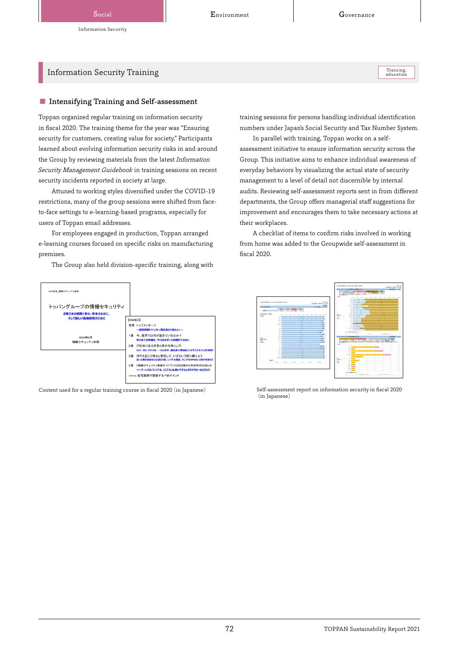## Information Security Training

■ Intensifying Training and Self-assessment

Toppan organized regular training on information security in fiscal 2020. The training theme for the year was "Ensuring security for customers, creating value for society." Participants learned about evolving information security risks in and around the Group by reviewing materials from the latest Information Security Management Guidebook in training sessions on recent security incidents reported in society at large.

Attuned to working styles diversified under the COVID-19 restrictions, many of the group sessions were shifted from faceto-face settings to e-learning-based programs, especially for users of Toppan email addresses.

For employees engaged in production, Toppan arranged e-learning courses focused on specific risks on manufacturing premises.

The Group also held division-specific training, along with



training sessions for persons handling individual identification numbers under Japan's Social Security and Tax Number System.

In parallel with training, Toppan works on a selfassessment initiative to ensure information security across the Group. This initiative aims to enhance individual awareness of everyday behaviors by visualizing the actual state of security management to a level of detail not discernible by internal audits. Reviewing self-assessment reports sent in from different departments, the Group offers managerial staff suggestions for improvement and encourages them to take necessary actions at their workplaces.

A checklist of items to confirm risks involved in working from home was added to the Groupwide self-assessment in fiscal 2020.



Content used for a regular training course in fiscal 2020 (in Japanese) Self-assessment report on information security in fiscal 2020 (in Japanese)

Training,<br>education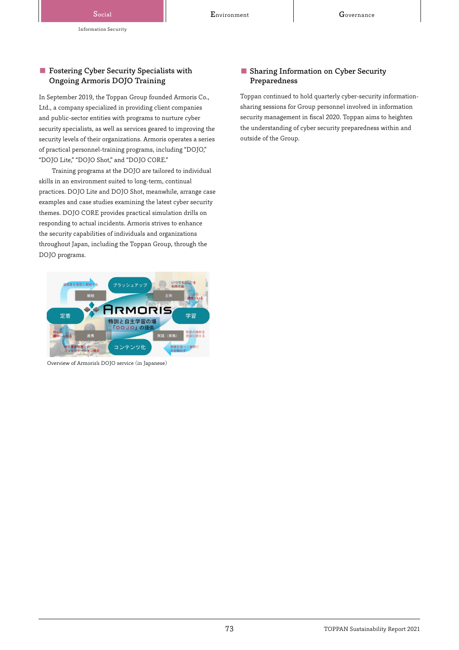## ■ Fostering Cyber Security Specialists with Ongoing Armoris DOJO Training

In September 2019, the Toppan Group founded Armoris Co., Ltd., a company specialized in providing client companies and public-sector entities with programs to nurture cyber security specialists, as well as services geared to improving the security levels of their organizations. Armoris operates a series of practical personnel-training programs, including "DOJO," "DOJO Lite," "DOJO Shot," and "DOJO CORE."

Training programs at the DOJO are tailored to individual skills in an environment suited to long-term, continual practices. DOJO Lite and DOJO Shot, meanwhile, arrange case examples and case studies examining the latest cyber security themes. DOJO CORE provides practical simulation drills on responding to actual incidents. Armoris strives to enhance the security capabilities of individuals and organizations throughout Japan, including the Toppan Group, through the DOJO programs.



Overview of Armoris's DOJO service (in Japanese)

## ■ Sharing Information on Cyber Security Preparedness

Toppan continued to hold quarterly cyber-security informationsharing sessions for Group personnel involved in information security management in fiscal 2020. Toppan aims to heighten the understanding of cyber security preparedness within and outside of the Group.